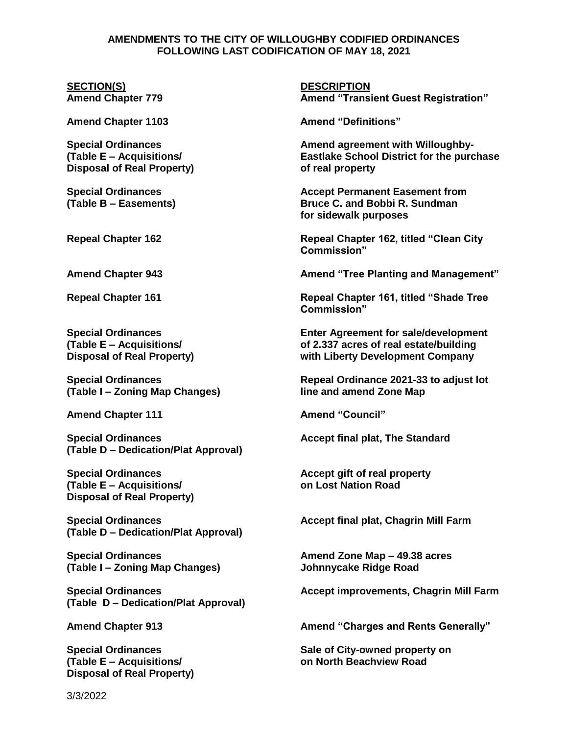## **AMENDMENTS TO THE CITY OF WILLOUGHBY CODIFIED ORDINANCES FOLLOWING LAST CODIFICATION OF MAY 18, 2021**

## **SECTION(S) DESCRIPTION**

**Amend Chapter 1103 Amend "Definitions"**

**Disposal of Real Property) of real property**

**(Table I – Zoning Map Changes) line and amend Zone Map**

**Amend Chapter 111 Amend "Council"**

**Special Ordinances Accept final plat, The Standard (Table D – Dedication/Plat Approval)**

**(Table E – Acquisitions/ on Lost Nation Road Disposal of Real Property)**

**Special Ordinances Accept final plat, Chagrin Mill Farm (Table D – Dedication/Plat Approval)**

**(Table I – Zoning Map Changes) Johnnycake Ridge Road**

**(Table D – Dedication/Plat Approval)**

**Disposal of Real Property)**

**Amend Chapter 779 Amend "Transient Guest Registration"**

**Special Ordinances Amend agreement with Willoughby- (Table E – Acquisitions/ Eastlake School District for the purchase**

**Special Ordinances Accept Permanent Easement from (Table B – Easements) Bruce C. and Bobbi R. Sundman for sidewalk purposes**

**Repeal Chapter 162 Repeal Chapter 162, titled "Clean City Commission"**

**Amend Chapter 943 Amend "Tree Planting and Management"**

**Repeal Chapter 161 Repeal Chapter 161, titled "Shade Tree Commission"**

**Special Ordinances Enter Agreement for sale/development (Table E – Acquisitions/ of 2.337 acres of real estate/building Disposal of Real Property) with Liberty Development Company**

**Special Ordinances Repeal Ordinance 2021-33 to adjust lot**

**Special Ordinances Accept gift of real property**

**Special Ordinances Amend Zone Map – 49.38 acres**

**Special Ordinances Accept improvements, Chagrin Mill Farm**

**Amend Chapter 913 Amend "Charges and Rents Generally"**

**Special Ordinances Sale of City-owned property on (Table E – Acquisitions/ on North Beachview Road**